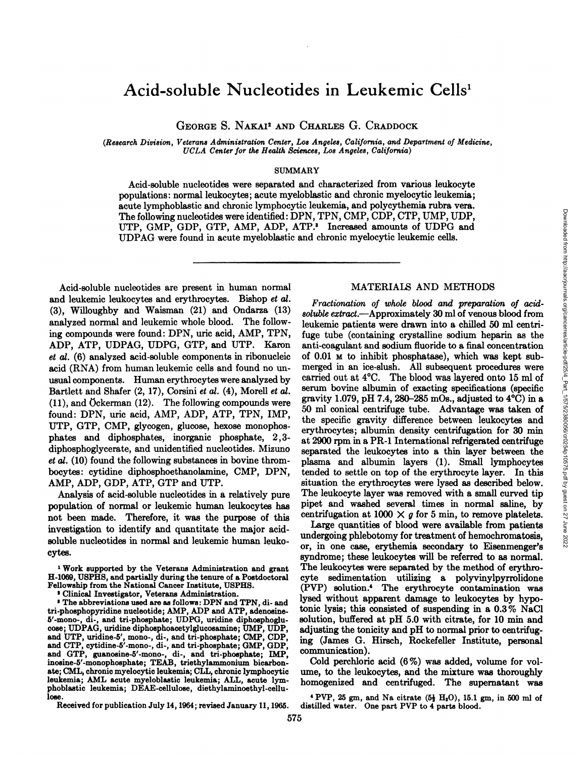# Acid-soluble Nucleotides in Leukemic Cells'

GEORGE S. NAKAI<sup>2</sup> AND CHARLES G. CRADDOCK

*(Research Division, Veterans Administration Center, Los Angeles, California, and Department of Medicine, UCLA Centerfor theHealthSciences,Los Angeles,California)*

#### SUMMARY

Acid-soluble nucleotides were separated and characterized from various leukocyte populations : normal leukocytes ; acute myeloblastic and chronic myelocytic leukemia; acute lymphoblastic and chronic lymphocytic leukemia, and polycythemia rubra vera. The following nucleotides were identified: DPN, TPN, CMP, CDP, CTP, UMP, UDP, UTP, GMP, GDP, GTP, AMP, ADP, ATP.<sup>3</sup> Increased amounts of UDPG and UDPAG were found in acute myeloblastic and chronic myelocytic leukemic cells.

Acid-soluble nucleotides are present in human normal and leukemic leukocytes and erythrocytes. Bishop et al. (3), Willoughby and Waisman (21) and Ondanza (13) analyzed normal and leukemic whole blood. The follow ing compounds were found: DPN, uric acid, AMP, TPN, ADP, ATP, UDPAG, UDPG, GTP, and UTP. Karon *et at. (6) analyzed seid-soluble components in nibonucleic* acid (RNA) from human leukemic cells and found no un usual components. Human erythrocytes were analyzed by Bartlett and Shafer  $(2, 17)$ , Corsini et al.  $(4)$ , Morell et al. (11), and Ockerman (12). The following compounds were found: DPN, uric acid, AMP, ADP, ATP, TPN, IMP, UTP, GTP, CMP, glycogen, glucose, hexose monophos phates and diphosphates, inorganic phosphate, 2,3 diphosphoglycerate, and unidentified nucleotides. Mizuno *et at. (10) found the following substances in bovine throm* bocytes : cytidine diphosphoethanolamine, CMP, DPN, AMP, ADP, GDP, ATP, GTP and UTP.

Analysis of acid-soluble nucleotides in a relatively pure population of normal or leukemic human leukocytes has not been made. Therefore, it was the purpose of this investigation to identify and quantitate the major acid soluble nucleotides in normal and leukemic human leuko cytes.

**1 Work supported by the Veterans Administration and grant** H-1069, USPHS, and partially during the tenure of a Postdoctoral Fellowship from the National Cancer Institute, USPHS.

2 Clinical Investigator, Veterans Administration.

**a The abbreviations used are as follows: DPN and TPN, di- and** tri-phosphopyridine nucleotide; AMP, ADP and ATP, adenosine 5'-mono-, di-, and tri-phosphate; UDPG, uridine diphosphoglucose; UDPAG, unidine diphosphoacetyiglucosamine; UMP, UDP, and UTP, uridine-5', mono-, di-, and tri-phosphate; CMP, CDP, and CTP, cytidine-5'-mono-, di-, and tri-phosphate; GMP, GDP and GTP, guanosine-5'-mono-, di-, and tri-phosphate; IMP, inosine-5'-monophosphate; TEAB, triethylammonium bicarbonate; CML, chronic myelocytic leukemia; CLL, chronic lymphocytic leukemia; AML acute myeloblaatic leukemia; ALL, acute lym phoblastic leukemia; DEAE-cellulose, diethylaminoethyl-cellu lose.

Received for publication July 14, 1964; revised January 11, 1965.

### MATERIALS AND METHODS

7 FPN, CMP, CDP, CTP, UMP, UDP,<br>
<sup>2</sup> Increased amounts of UDPG and<br>
dehronic myelocytic leukemic cells.<br> **Fractionation** of whole blood and preparation of acid-<br>
increased amounts of World blood and preparation of acid-<br> *soluble extract.—Approximately 30 ml of venous blood from* leukemic patients were drawn into a chilled 50 ml centri fuge tube (containing crystalline sodium heparin as the anti-coagulant and sodium fluoride to a final concentration of 0.01 M to inhibit phosphatase), which was kept sub merged in an ice-slush. All subsequent procedures were carried out at 4°C. The blood was layered onto 15 ml of serum bovine albumin of exacting specifications (specific gravity 1.079, pH 7.4, 280–285 mOs., adjusted to  $4^{\circ}$ C) in a 50 ml conical centrifuge tube. Advantage was taken of the specific gravity difference between leukocytes and erythrocytes; albumin density centrifugation for 30 min at 2900 rpm in a PR-i International refrigerated centrifuge separated the leukocytes into a thin layer between the plasma and albumin layers (1). Small lymphocytes tended to settle on top of the erythrocyte layer. In this situation the erythrocytes were lysed as described below. The leukocyte layer was removed with a small curved tip pipet and washed several times in normal saline, by centrifugation at 1000  $\times$  g for 5 min, to remove platelets.

Lange quantities of blood were available from patients undergoing phlebotomy for treatment of hemochromatosis, or, in one case, erythemia secondary to Eisenmenger's syndrome; these leukocytes will be referred to as normal. The leukocytes were separated by the method of erythro cyte sedimentation utilizing a polyvinylpyrrolidone (PYP) solution.4 The erythrocyte contamination was lysed without apparent damage to leukocytes by hype tonic lysis; this consisted of suspending in a 0.3 % NaCl solution, buffered at pH 5.0 with citrate, for 10 min and adjusting the tonicity and pH to normal prior to centrifuging (James G. Hirsch, Rockefeller Institute, personal communication).

Cold perchloric acid (6 %) was added, volume for vol ume, to the leukocytes, and the mixture was thoroughly homogenized and centrifuged. The supernatant was

**4 PvP, 25 gm, and Na citrate (54 H,O), 15.1 gm, in 500 ml of** distilled water. One part PVP to 4 parts blood.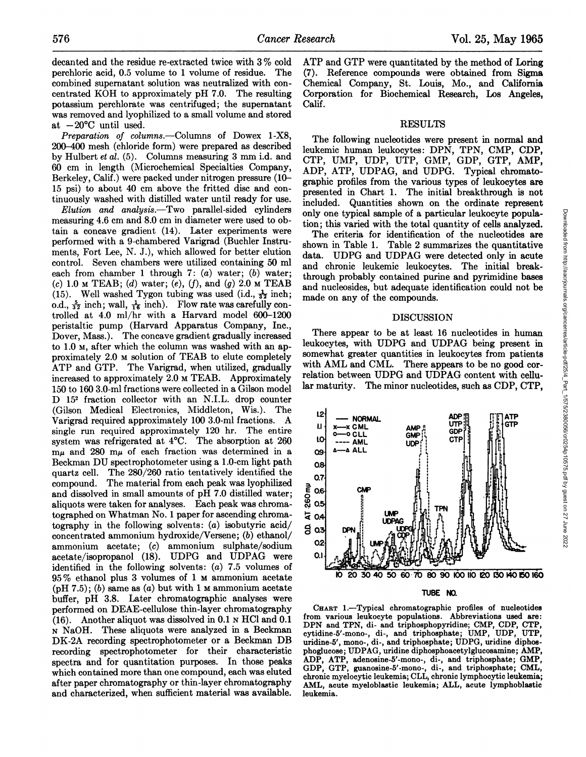decanted and the residue re-extracted twice with 3% cold ATP and GTP were quantitated by the method of Loring perchloric acid, 0.5 volume to 1 volume of residue. The combined supernatant solution was neutralized with con centrated KOH to approximately  $pH$  7.0. The resulting potassium perchlorate was centrifuged; the supernatant was removed and lyophilized to a small volume and stored at  $-20^{\circ}$ C until used.

*Preparation of columns.—Columns of Dowex 1-X8,* 200—400mesh (chloride form) were prepared as described by Hulbert et al. (5). Columns measuring 3 mm i.d. and 60 cm in length (Microchemical Specialties Company, Berkeley, Calif.) were packed under nitrogen pressure (10— 15 psi) to about 40 cm above the fritted disc and con tinuously washed with distilled water until ready for use.

*Elution and analysis.—Two parallel-sided cylinders* measuring 4.6 cm and 8.0 cm in diameter were used to ob tain a concave gradient (14). Later experiments were performed with a 9-chambered Vanigrad (Buchlen Instru ments, Fort Lee, N. J.), which allowed for better elution control. Seven chambers were utilized containing 50 ml each from chamber 1 through 7:  $(a)$  water;  $(b)$  water; *(c) 1.0 M TEAB; (d) water; (e), (j), and (g) 2.0 M TEAB* (15). Well washed Tygon tubing was used (i.d.,  $\frac{1}{32}$  inch; o.d.,  $\frac{5}{32}$  inch; wall,  $\frac{1}{16}$  inch). Flow rate was carefully controlled at 4.0 mi/hr with a Harvard model 600—1200 peristaltic pump (Harvard Apparatus Company, Inc., Dover, Mass.). The concave gradient gradually increased to 1.0 M, after which the column was washed with an ap proximately 2.0 M solution of TEAB to elute completely ATP and GTP. The Varigrad, when utilized, gradually increased to approximately 2.0 M TEAB. Approximately 150 to 160 3.0-ml fractions were collected in a Gilson model D 152 fraction collector with an N.I.L. drop counter (Gilson Medical Electronics, Middieton, Wis.). The Varigrad required approximately 100 3.0-mi fractions. A single run required approximately 120 hr. The entire  $\frac{10}{10}$ <br>system was refrigerated at 4<sup>o</sup>C. The absorption at 260 system was refrigerated at 4°C. The absorption at 260  $m\mu$  and 280  $m\mu$  of each fraction was determined in a  $\infty$ Beckman DU spectrophotometer using a 1.0-cm light path og. quartz cell. The 280/260 ratio tentatively identified the 07 compound. The material from each peak was lyophilized and dissolved in small amounts of pH 7.0 distilled water; aliquots were taken for analyses. Each peak was chroma tographed on Whatman No. 1 paper for ascending chroma-  $\frac{1}{4}$  0.4 tography in the following solvents:  $(a)$  isobutyric acid/ concentrated ammonium hydroxide/Versene; (b) ethanol/ ammonium acetate; (c) ammonium sulphate/sodium 02 acetate/isopropanol (18). UDPG and UDPAG were 0. identified in the following solvents:  $(a)$  7.5 volumes of 95 % ethanol plus 3 volumes of 1 M ammonium acetate (pH 7.5); (b) same as  $(a)$  but with 1 M ammonium acetate buffer, pH 3.8. Later chromatographic analyses were performed on DEAE-cellulose thin-layer chromatography  $(16)$ . Another aliquot was dissolved in 0.1 N HCl and 0.1 **N NaOH. These aliquots were analyzed in a Beckman** DK-2A recording spectrophotometen or a Beckman DB recording spectrophotometer for their characteristic spectra and for quantitation purposes. In those peaks which contained more than one compound, each was eluted after paper chromatography or thin-layer chromatography and characterized, when sufficient material was available.

(7). Reference compounds were obtained from Sigma Chemical Company, St. Louis, Mo., and California Corporation for Biochemical Research, Los Angeles, Calif.

# RESULTS

The following nucleotides were present in normal and leukemic human leukocytes: DPN, TPN, CMP, CDP, CTP, UMP, UDP, UTP, GMP, GDP, GTP, AMP, ADP, ATP, UDPAG, and UDPG. Typical chromato graphic profiles from the various types of leukocytes are presented in Chant 1. The initial breakthrough is not included. Quantities shown on the ordinate represent only one typical sample of a particular ieukocyte popula tion ; this varied with the total quantity of cells analyzed.

shown in Table 1. Table 2 summarizes the quantitative data. UDPG and UDPAG were detected only in acute and chronic leukemic leukocytes. The initial break through probably contained purine and pyrimidine bases and nucleosides, but adequate identification could not be made on any of the compounds.

# DISCUSSION

There appear to be at least 16 nucleotides in human leukocytes, with UDPG and UDPAG being present in somewhat greater quantities in leukocytes from patients with AML and CML. There appears to be no good correlation between UDPG and UDPAG content with cellu lar maturity. The minor nucleotides, such as CDP, CTP.



CHART 1.-Typical chromatographic profiles of nucleotides from various leukocyte populations. Abbreviations used are: DPN and TPN, di- and triphosphopyridine; CMP, CDP, CTP, cytidine-5'-mono-, di-, and triphosphate; UMP, UDP, UTP, unidine-5', mono-, di-, and triphosphate; UDPG, uridine diphos phoglucose; UDPAG, uridine diphosphoacetylglucosamine; AMP, A.DP, ATP, adenosine-5'-mono-, di-, and triphosphate; GMP, GDP, GTP, guanosine-5'-mono-, di-, and triphosphate; CML, chronic myelocytic leukemia; CLL, chronic lymphocytic leukemia; AML, acute myeloblastic leukemia; ALL, acute lymphoblastic leukemia.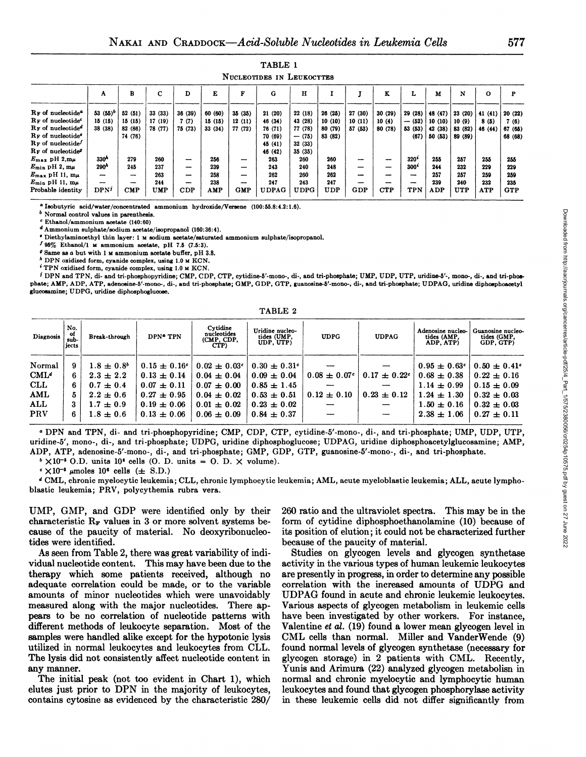TABLE 1

|                                           |                          |                |                 |                          |         |            | NUCLEOTIDES IN LEUKOCYTES |             |         |                          |            |                                                 |                             |                                                                            |              |            |
|-------------------------------------------|--------------------------|----------------|-----------------|--------------------------|---------|------------|---------------------------|-------------|---------|--------------------------|------------|-------------------------------------------------|-----------------------------|----------------------------------------------------------------------------|--------------|------------|
|                                           | л                        | в              | $\sqrt{ }$<br>◡ |                          | E       |            | G                         | $\mathbf H$ |         |                          | A          | L                                               | м                           | N                                                                          | $\mathbf{o}$ | P          |
| R <sub>F</sub> of nucleotide <sup>6</sup> | 53 $(55)^b$ 52 $(51)$    |                | 33 (33)         | 36 (39)                  | 60 (60) | 35(35)     | 21(20)                    | 22 (18)     | 26(25)  | 27 (30)                  | 30(29)     | 29 (28)   48 (47)   23 (20)   41 (41)   20 (22) |                             |                                                                            |              |            |
| $R_F$ of nucleotide <sup>c</sup>          | 15(15)                   | 15(15)         | 17(19)          | 7(7)                     | 15(15)  | 12(11)     | 46 (34)                   | 43 (28)     | 10(10)  | 10(11)                   | 10(4)      |                                                 | $-$ (52)   10 (10)   10 (9) |                                                                            | 8(5)         | 7(6)       |
| $R_F$ of nucleotide <sup>d</sup>          | 38 (38)                  | 82 (86)        | 78 (77)         | 75 (73)                  | 33(34)  | 77 (72)    | 76 (71)                   | 77 (78)     | 80 (79) | 57 (53)                  | 80 (78)    |                                                 |                             | $\mid$ 53 (53) $\mid$ 42 (38) $\mid$ 83 (82) $\mid$ 46 (44) $\mid$ 67 (65) |              |            |
| RF of nucleotide <sup>®</sup>             |                          | 74 (76)        |                 |                          |         |            | 70 (69)                   | $- (75)$    | 83 (82) |                          |            | (67)                                            |                             | 50 (53)   89 (89)                                                          |              | 68 (68)    |
| $R_F$ of nucleotide                       |                          |                |                 |                          |         |            | 45 (41)                   | 32(33)      |         |                          |            |                                                 |                             |                                                                            |              |            |
| RF of nucleotide <sup>9</sup>             |                          |                |                 |                          |         |            | 46 (42)                   | 35(35)      |         |                          |            |                                                 |                             |                                                                            |              |            |
| $E_{\text{max}}$ pH $2,\text{m}\mu$       | 330 <sup>A</sup>         | 279            | 260             | $\overline{\phantom{a}}$ | 256     | -          | 263                       | 260         | 260     | -                        | -          | $320^*$                                         | 255                         | 257                                                                        | 255          | 255        |
| $E_{\min}$ pH 2, m $\mu$                  | 290 <sup>h</sup>         | 245            | 237             |                          | 239     |            | 243                       | 240         | 248     | $\overline{\phantom{0}}$ | -          | $300^{\circ}$                                   | 244                         | 232                                                                        | 229          | 229        |
| $E_{\text{max}}$ pH 11, m $\mu$           | $\overline{\phantom{0}}$ | -              | 263             | $\overline{\phantom{0}}$ | 258     | -          | 262                       | 260         | 262     | $\overline{\phantom{0}}$ | -          | -                                               | 257                         | 257                                                                        | 259          | 259        |
| $E_{\rm min}$ pH 11, $m\mu$               | -                        | -              | 244             | $\overline{\phantom{a}}$ | 238     | --         | 247                       | 243         | 247     |                          | -          | $\overline{\phantom{0}}$                        | 239                         | 240                                                                        | 232          | 235        |
| Probable identity                         | DPN <sup>j</sup>         | $\mathbf{CMP}$ | <b>UMP</b>      | CDP                      | AMP     | <b>GMP</b> | <b>UDPAG</b>              | <b>UDPG</b> | UDP     | <b>GDP</b>               | <b>CTP</b> | <b>TPN</b>                                      | <b>ADP</b>                  | <b>UTP</b>                                                                 | <b>ATP</b>   | <b>GTP</b> |

**a Iaobutyric acid/water/concentrated ammonium hydroxide/Vereene (100: 55.8:4.2: 1.6).**

*b Normal control valuea in parenthe8is.*

**C Ethanol/ammonium acetate (140:60)**

**d Ammonium sulphate/sodium acetate/isopropanol (160: 36:4).**

. Diethylaminoethyl thin layer: 1 M sodium acetate/saturated ammonium suiphate/isopropanol.

*I 95% Ethanol/i M ammonium acetate, pH 7.5 (7.5:3).*

 $\theta$  Same as a but with 1  $\mu$  ammonium acetate buffer, pH 3.8.

 $h$  DPN oxidized form, cyanide complex, using 1.0  $\mu$  KCN.

**\$TPN oxidized form, cyanide complex, using 1.0 M KCN.**

<sup>j</sup> DPN and TPN, di- and tri-phosphopyridine; CMP, CDP, CTP, cytidine-5'-mono-, di-, and tri-phosphate; UMP, UDP, UTP, uridine-5'-, mono-, di-, and tri-phosphate; AMP, ADP, ATP, adenosine-5'-mono-, di-, and tn-phosphate; GMP, GDP, GTP, guanosine-5'-mono-, di-, and tn-phosphate; UDPAG, uridine diphoephoacetyl **glucosamine; UDPG, uridine diphosphoglucose.**

TABLE 2

| Diagnosis        | No.<br>of<br>sub-<br>jects | Break-through         | DPN <sup>®</sup> TPN | Cytidine<br>nucleotides<br>(CMP, CDP,<br>CTP) | Uridine nucleo-<br>tides (UMP,<br>UDP, UTP) | <b>UDPG</b>                  | <b>UDPAG</b>    | Adenosine nucleo-<br>tides (AMP.<br>ADP. ATP) | Guanosine nucleo-<br>tides (GMP.<br>GDP. GTP) |
|------------------|----------------------------|-----------------------|----------------------|-----------------------------------------------|---------------------------------------------|------------------------------|-----------------|-----------------------------------------------|-----------------------------------------------|
| Normal           | 9                          | $1.8 \pm 0.8^{\circ}$ | $0.15 \pm 0.16^c$    | $0.02 \pm 0.03$ <sup>c</sup>                  | $0.30 \pm 0.31$ <sup>c</sup>                |                              |                 | $0.95 \pm 0.63$ <sup>c</sup>                  | $0.50 \pm 0.41$ <sup>c</sup>                  |
| CML <sup>d</sup> | 6                          | $2.3 \pm 2.2$         | $0.13 \pm 0.14$      | $0.04 \pm 0.04$                               | $0.09 \pm 0.04$                             | $0.08 \pm 0.07$ <sup>c</sup> | $0.17 \pm 0.22$ | $0.68 \pm 0.38$                               | $0.22 \pm 0.16$                               |
| <b>CLL</b>       | 6                          | $0.7 \pm 0.4$         | $0.07 \pm 0.11$      | $0.07 \pm 0.00$                               | $0.85 \pm 1.45$                             |                              |                 | $1.14 \pm 0.99$                               | $0.15 \pm 0.09$                               |
| AML              | 5                          | $2.2 \pm 0.6$         | $0.27 \pm 0.95$      | $0.04 \pm 0.02$                               | $0.53 \pm 0.51$                             | $0.12 \pm 0.10$              | $0.23 \pm 0.12$ | $1.24 \pm 1.30$                               | $0.32 \pm 0.03$                               |
| ALL              | 3                          | $1.7 \pm 0.9$         | $0.19 \pm 0.06$      | $0.01 \pm 0.02$                               | $0.23 \pm 0.02$                             |                              |                 | $1.50 \pm 0.16$                               | $0.32 \pm 0.03$                               |
| <b>PRV</b>       | 6                          | $1.8 \pm 0.6$         | $0.13 \pm 0.06$      | $0.06 \pm 0.09$                               | $0.84 \pm 0.37$                             |                              |                 | $2.38 \pm 1.06$                               | $0.27 \pm 0.11$                               |

<sup>a</sup> DPN and TPN, di- and tri-phosphopyridine; CMP, CDP, CTP, cytidine-5'-mono-, di-, and tri-phosphate; UMP, UDP, UTP, uridine-5', mono-, di-, and tri-phosphate; UDPG, uridine diphosphoglucose; UDPAG, uridine diphosphoacetylglucosamine; AMP, ADP, ATP, adenosine-5'-mono-, di-, and tri-phosphate; GMP, GDP, GTP, guanosine-5'-mono-, di-, and tri-phosphate.

 $^{b}$   $\times$  10<sup>-3</sup> O.D. units 10<sup><sup>6</sup> cells (O. D. units = 0. D.  $\times$  volume).</sup>

 $\cdot$  ×10<sup>-3</sup>  $\mu$ moles 10<sup>6</sup> cells ( $\pm$  S.D.)

d CML, chronic myelocytic leukemia; CLL, chronic lymphocytic leukemia; AML, acute myeloblastic leukemia; ALL, acute lymphoblastic leukemia; PRY, polycythemia rubra vera.

UMP, GMP, and GDP were identified only by their characteristic  $R_F$  values in 3 or more solvent systems because of the paucity of material. No deoxyribonucleo tides were identified.

As seen from Table 2, there was great variability of indi vidual nucleotide content. This may have been due to the therapy which some patients received, although no adequate correlation could be made, or to the variable amounts of minor nucleotides which were unavoidably measured along with the major nucleotides. There ap pears to be no correlation of nucleotide patterns with different methods of leukocyte separation. Most of the samples were handled alike except for the hypotonic lysis utilized in normal leukocytes and leukocytes from CLL. The lysis did not consistently affect nucleotide content in any manner.

The initial peak (not too evident in Chart 1), which elutes just prior to DPN in the majority of leukocytes, contains cytosine as evidenced by the characteristic 280/

260 ratio and the ultraviolet spectra. This may be in the form of cytidine diphosphoethanolamine (10) because of its position of elution; it could not be characterized further because of the paucity of material.

Studies on glycogen levels and glycogen synthetase activity in the various types of human leukemic leukocytes are presently in progress, in order to determine any possible correlation with the increased amounts of UDPG and UDPAG found in acute and chronic leukemic leukocytes. Various aspects of glycogen metabolism in leukemic cells have been investigated by other workers. For instance, Valentine et al. (19) found a lower mean glycogen level in CML cells than normal. Miller and VandenWende (9) found normal levels of glycogen synthetase (necessary for glycogen storage) in 2 patients with CML. Recently, Yunis and Arimura (22) analyzed glycogen metabolisn in normal and chronic myelocytic and lymphocytic human leukocytes and found that glycogen phosphorylase activity in these leukemic cells did not differ significantly from